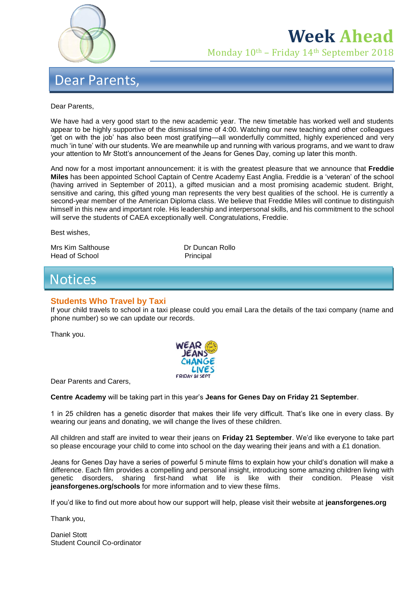

# **Week Ahead**

Monday 10th – Friday 14th September 2018

## Dear Parents,

#### Dear Parents,

We have had a very good start to the new academic year. The new timetable has worked well and students appear to be highly supportive of the dismissal time of 4:00. Watching our new teaching and other colleagues 'get on with the job' has also been most gratifying—all wonderfully committed, highly experienced and very much 'in tune' with our students. We are meanwhile up and running with various programs, and we want to draw your attention to Mr Stott's announcement of the Jeans for Genes Day, coming up later this month.

And now for a most important announcement: it is with the greatest pleasure that we announce that **Freddie Miles** has been appointed School Captain of Centre Academy East Anglia. Freddie is a 'veteran' of the school (having arrived in September of 2011), a gifted musician and a most promising academic student. Bright, sensitive and caring, this gifted young man represents the very best qualities of the school. He is currently a second-year member of the American Diploma class. We believe that Freddie Miles will continue to distinguish himself in this new and important role. His leadership and interpersonal skills, and his commitment to the school will serve the students of CAEA exceptionally well. Congratulations, Freddie.

Best wishes,

Mrs Kim Salthouse **Dr Duncan Rollo** Head of School Principal

# **Notices**

### **Students Who Travel by Taxi**

If your child travels to school in a taxi please could you email Lara the details of the taxi company (name and phone number) so we can update our records.

Thank you.



Dear Parents and Carers,

**Centre Academy** will be taking part in this year's **Jeans for Genes Day on Friday 21 September**.

1 in 25 children has a genetic disorder that makes their life very difficult. That's like one in every class. By wearing our jeans and donating, we will change the lives of these children.

All children and staff are invited to wear their jeans on **Friday 21 September**. We'd like everyone to take part so please encourage your child to come into school on the day wearing their jeans and with a £1 donation.

Jeans for Genes Day have a series of powerful 5 minute films to explain how your child's donation will make a difference. Each film provides a compelling and personal insight, introducing some amazing children living with genetic disorders, sharing first-hand what life is like with their condition. Please visit **jeansforgenes.org/schools** for more information and to view these films.

If you'd like to find out more about how our support will help, please visit their website at **jeansforgenes.org**

Thank you,

Daniel Stott Student Council Co-ordinator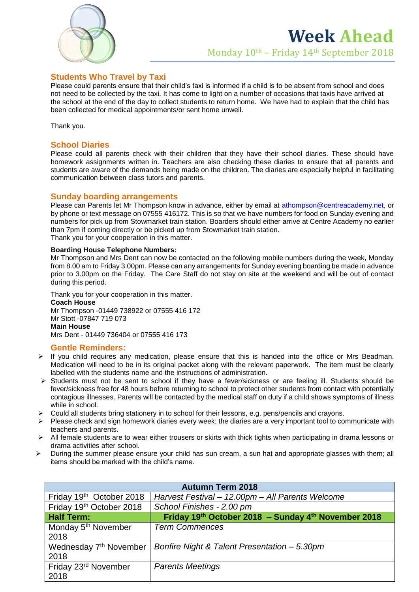

### **Students Who Travel by Taxi**

Please could parents ensure that their child's taxi is informed if a child is to be absent from school and does not need to be collected by the taxi. It has come to light on a number of occasions that taxis have arrived at the school at the end of the day to collect students to return home. We have had to explain that the child has been collected for medical appointments/or sent home unwell.

Thank you.

## **School Diaries**

Please could all parents check with their children that they have their school diaries. These should have homework assignments written in. Teachers are also checking these diaries to ensure that all parents and students are aware of the demands being made on the children. The diaries are especially helpful in facilitating communication between class tutors and parents.

#### **Sunday boarding arrangements**

Please can Parents let Mr Thompson know in advance, either by email at [athompson@centreacademy.net,](mailto:athompson@centreacademy.net) or by phone or text message on 07555 416172. This is so that we have numbers for food on Sunday evening and numbers for pick up from Stowmarket train station. Boarders should either arrive at Centre Academy no earlier than 7pm if coming directly or be picked up from Stowmarket train station. Thank you for your cooperation in this matter.

#### **Boarding House Telephone Numbers:**

Mr Thompson and Mrs Dent can now be contacted on the following mobile numbers during the week, Monday from 8.00 am to Friday 3.00pm. Please can any arrangements for Sunday evening boarding be made in advance prior to 3.00pm on the Friday. The Care Staff do not stay on site at the weekend and will be out of contact during this period.

Thank you for your cooperation in this matter. **Coach House** Mr Thompson -01449 738922 or 07555 416 172 Mr Stott -07847 719 073 **Main House** Mrs Dent - 01449 736404 or 07555 416 173

### **Gentle Reminders:**

- $\triangleright$  If you child requires any medication, please ensure that this is handed into the office or Mrs Beadman. Medication will need to be in its original packet along with the relevant paperwork. The item must be clearly labelled with the students name and the instructions of administration.
- $\triangleright$  Students must not be sent to school if they have a fever/sickness or are feeling ill. Students should be fever/sickness free for 48 hours before returning to school to protect other students from contact with potentially contagious illnesses. Parents will be contacted by the medical staff on duty if a child shows symptoms of illness while in school.
- $\triangleright$  Could all students bring stationery in to school for their lessons, e.g. pens/pencils and crayons.
- $\triangleright$  Please check and sign homework diaries every week; the diaries are a very important tool to communicate with teachers and parents.
- $\triangleright$  All female students are to wear either trousers or skirts with thick tights when participating in drama lessons or drama activities after school.
- $\triangleright$  During the summer please ensure your child has sun cream, a sun hat and appropriate glasses with them; all items should be marked with the child's name.

| <b>Autumn Term 2018</b>            |                                                     |
|------------------------------------|-----------------------------------------------------|
| Friday 19th October 2018           | Harvest Festival - 12.00pm - All Parents Welcome    |
| Friday 19th October 2018           | School Finishes - 2.00 pm                           |
| <b>Half Term:</b>                  | Friday 19th October 2018 - Sunday 4th November 2018 |
| Monday 5 <sup>th</sup> November    | <b>Term Commences</b>                               |
| 2018                               |                                                     |
| Wednesday 7 <sup>th</sup> November | Bonfire Night & Talent Presentation - 5.30pm        |
| 2018                               |                                                     |
| Friday 23 <sup>rd</sup> November   | <b>Parents Meetings</b>                             |
| 2018                               |                                                     |